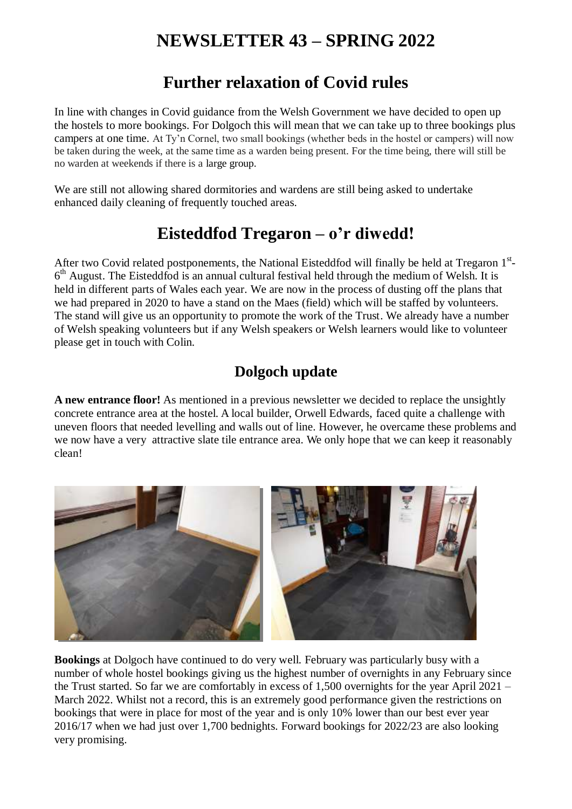# **NEWSLETTER 43 – SPRING 2022**

### **Further relaxation of Covid rules**

In line with changes in Covid guidance from the Welsh Government we have decided to open up the hostels to more bookings. For Dolgoch this will mean that we can take up to three bookings plus campers at one time. At Ty'n Cornel, two small bookings (whether beds in the hostel or campers) will now be taken during the week, at the same time as a warden being present. For the time being, there will still be no warden at weekends if there is a large group.

We are still not allowing shared dormitories and wardens are still being asked to undertake enhanced daily cleaning of frequently touched areas.

## **Eisteddfod Tregaron – o'r diwedd!**

After two Covid related postponements, the National Eisteddfod will finally be held at Tregaron 1st-6<sup>th</sup> August. The Eisteddfod is an annual cultural festival held through the medium of Welsh. It is held in different parts of Wales each year. We are now in the process of dusting off the plans that we had prepared in 2020 to have a stand on the Maes (field) which will be staffed by volunteers. The stand will give us an opportunity to promote the work of the Trust. We already have a number of Welsh speaking volunteers but if any Welsh speakers or Welsh learners would like to volunteer please get in touch with Colin.

### **Dolgoch update**

**A new entrance floor!** As mentioned in a previous newsletter we decided to replace the unsightly concrete entrance area at the hostel. A local builder, Orwell Edwards, faced quite a challenge with uneven floors that needed levelling and walls out of line. However, he overcame these problems and we now have a very attractive slate tile entrance area. We only hope that we can keep it reasonably clean!



**Bookings** at Dolgoch have continued to do very well. February was particularly busy with a number of whole hostel bookings giving us the highest number of overnights in any February since the Trust started. So far we are comfortably in excess of 1,500 overnights for the year April 2021 – March 2022. Whilst not a record, this is an extremely good performance given the restrictions on bookings that were in place for most of the year and is only 10% lower than our best ever year 2016/17 when we had just over 1,700 bednights. Forward bookings for 2022/23 are also looking very promising.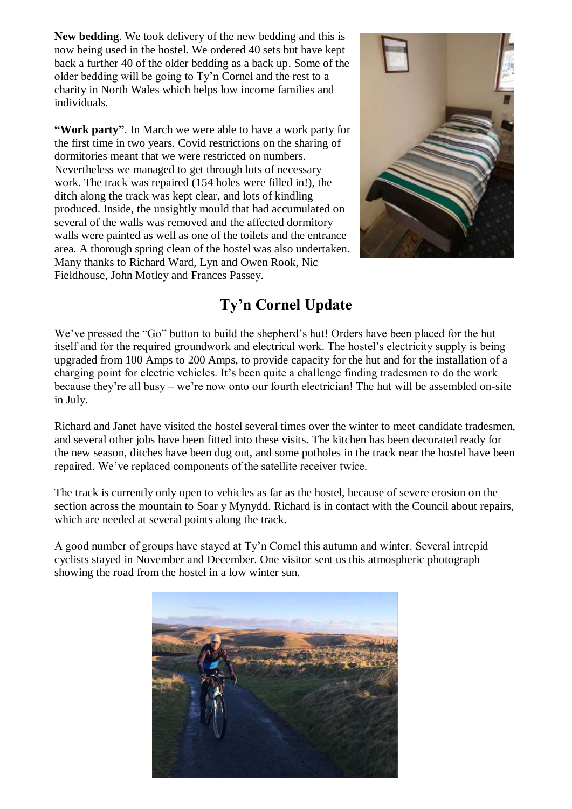**New bedding**. We took delivery of the new bedding and this is now being used in the hostel. We ordered 40 sets but have kept back a further 40 of the older bedding as a back up. Some of the older bedding will be going to Ty'n Cornel and the rest to a charity in North Wales which helps low income families and individuals.

**"Work party"**. In March we were able to have a work party for the first time in two years. Covid restrictions on the sharing of dormitories meant that we were restricted on numbers. Nevertheless we managed to get through lots of necessary work. The track was repaired (154 holes were filled in!), the ditch along the track was kept clear, and lots of kindling produced. Inside, the unsightly mould that had accumulated on several of the walls was removed and the affected dormitory walls were painted as well as one of the toilets and the entrance area. A thorough spring clean of the hostel was also undertaken. Many thanks to Richard Ward, Lyn and Owen Rook, Nic Fieldhouse, John Motley and Frances Passey.



### **Ty'n Cornel Update**

We've pressed the "Go" button to build the shepherd's hut! Orders have been placed for the hut itself and for the required groundwork and electrical work. The hostel's electricity supply is being upgraded from 100 Amps to 200 Amps, to provide capacity for the hut and for the installation of a charging point for electric vehicles. It's been quite a challenge finding tradesmen to do the work because they're all busy – we're now onto our fourth electrician! The hut will be assembled on-site in July.

Richard and Janet have visited the hostel several times over the winter to meet candidate tradesmen, and several other jobs have been fitted into these visits. The kitchen has been decorated ready for the new season, ditches have been dug out, and some potholes in the track near the hostel have been repaired. We've replaced components of the satellite receiver twice.

The track is currently only open to vehicles as far as the hostel, because of severe erosion on the section across the mountain to Soar y Mynydd. Richard is in contact with the Council about repairs, which are needed at several points along the track.

A good number of groups have stayed at Ty'n Cornel this autumn and winter. Several intrepid cyclists stayed in November and December. One visitor sent us this atmospheric photograph showing the road from the hostel in a low winter sun.